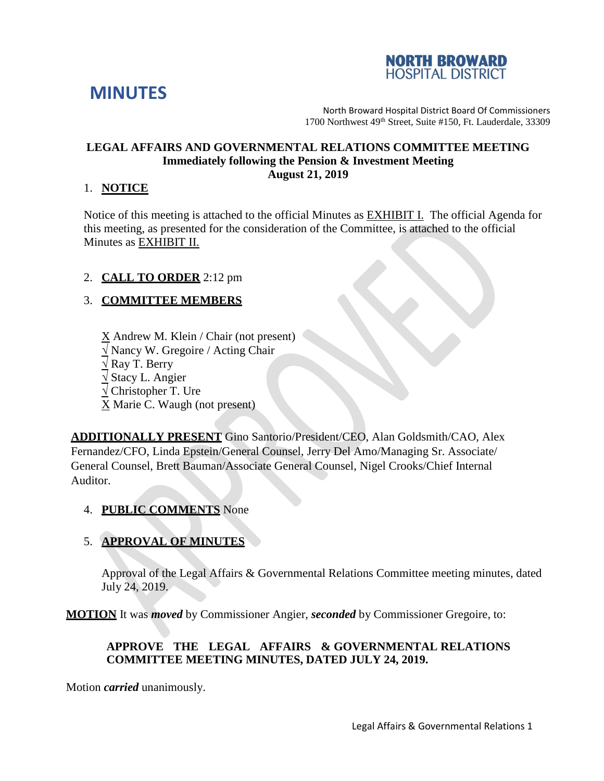



North Broward Hospital District Board Of Commissioners 1700 Northwest 49th Street, Suite #150, Ft. Lauderdale, 33309

#### **LEGAL AFFAIRS AND GOVERNMENTAL RELATIONS COMMITTEE MEETING Immediately following the Pension & Investment Meeting August 21, 2019**

### 1. **NOTICE**

Notice of this meeting is attached to the official Minutes as EXHIBIT I. The official Agenda for this meeting, as presented for the consideration of the Committee, is attached to the official Minutes as EXHIBIT II.

### 2. **CALL TO ORDER** 2:12 pm

# 3. **COMMITTEE MEMBERS**

X Andrew M. Klein / Chair (not present) **√** Nancy W. Gregoire / Acting Chair **√** Ray T. Berry **√** Stacy L. Angier **√** Christopher T. Ure X Marie C. Waugh (not present)

**ADDITIONALLY PRESENT** Gino Santorio/President/CEO, Alan Goldsmith/CAO, Alex Fernandez/CFO, Linda Epstein/General Counsel, Jerry Del Amo/Managing Sr. Associate/ General Counsel, Brett Bauman/Associate General Counsel, Nigel Crooks/Chief Internal Auditor.

4. **PUBLIC COMMENTS** None

# 5. **APPROVAL OF MINUTES**

Approval of the Legal Affairs & Governmental Relations Committee meeting minutes, dated July 24, 2019.

**MOTION** It was *moved* by Commissioner Angier, *seconded* by Commissioner Gregoire, to:

# **APPROVE THE LEGAL AFFAIRS & GOVERNMENTAL RELATIONS COMMITTEE MEETING MINUTES, DATED JULY 24, 2019.**

Motion *carried* unanimously.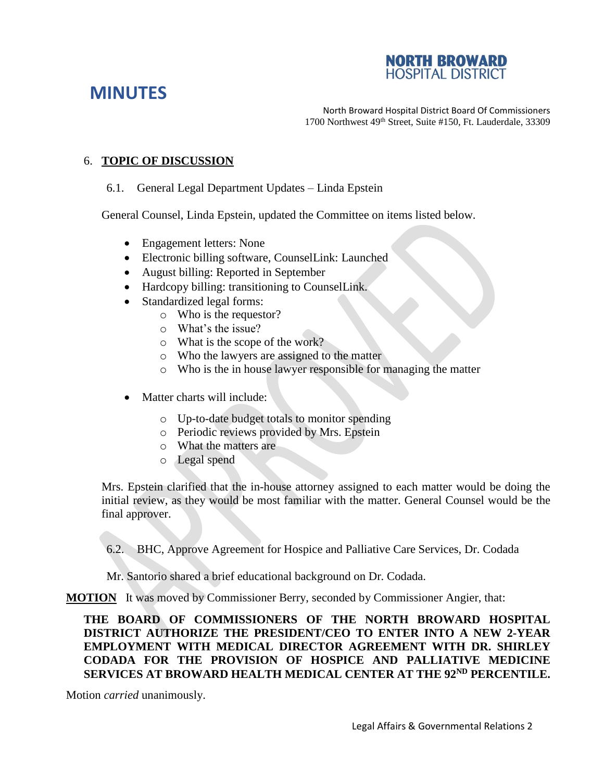### **NORTH BROWARD HOSPITAL DISTRIC**

# **MINUTES**

North Broward Hospital District Board Of Commissioners 1700 Northwest 49th Street, Suite #150, Ft. Lauderdale, 33309

### 6. **TOPIC OF DISCUSSION**

### 6.1. General Legal Department Updates – Linda Epstein

General Counsel, Linda Epstein, updated the Committee on items listed below.

- Engagement letters: None
- Electronic billing software, CounselLink: Launched
- August billing: Reported in September
- Hardcopy billing: transitioning to CounselLink.
- Standardized legal forms:
	- o Who is the requestor?
	- o What's the issue?
	- o What is the scope of the work?
	- o Who the lawyers are assigned to the matter
	- o Who is the in house lawyer responsible for managing the matter
- Matter charts will include:
	- o Up-to-date budget totals to monitor spending
	- o Periodic reviews provided by Mrs. Epstein
	- o What the matters are
	- o Legal spend

Mrs. Epstein clarified that the in-house attorney assigned to each matter would be doing the initial review, as they would be most familiar with the matter. General Counsel would be the final approver.

6.2. BHC, Approve Agreement for Hospice and Palliative Care Services, Dr. Codada

Mr. Santorio shared a brief educational background on Dr. Codada.

**MOTION** It was moved by Commissioner Berry, seconded by Commissioner Angier, that:

**THE BOARD OF COMMISSIONERS OF THE NORTH BROWARD HOSPITAL DISTRICT AUTHORIZE THE PRESIDENT/CEO TO ENTER INTO A NEW 2-YEAR EMPLOYMENT WITH MEDICAL DIRECTOR AGREEMENT WITH DR. SHIRLEY CODADA FOR THE PROVISION OF HOSPICE AND PALLIATIVE MEDICINE SERVICES AT BROWARD HEALTH MEDICAL CENTER AT THE 92ND PERCENTILE.**

Motion *carried* unanimously.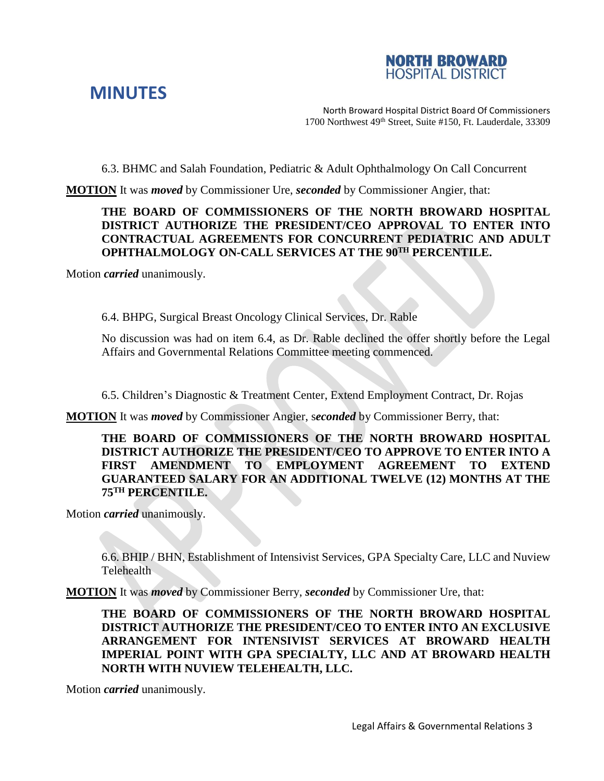



North Broward Hospital District Board Of Commissioners 1700 Northwest 49th Street, Suite #150, Ft. Lauderdale, 33309

6.3. BHMC and Salah Foundation, Pediatric & Adult Ophthalmology On Call Concurrent

**MOTION** It was *moved* by Commissioner Ure, *seconded* by Commissioner Angier, that:

### **THE BOARD OF COMMISSIONERS OF THE NORTH BROWARD HOSPITAL DISTRICT AUTHORIZE THE PRESIDENT/CEO APPROVAL TO ENTER INTO CONTRACTUAL AGREEMENTS FOR CONCURRENT PEDIATRIC AND ADULT OPHTHALMOLOGY ON-CALL SERVICES AT THE 90TH PERCENTILE.**

Motion *carried* unanimously.

6.4. BHPG, Surgical Breast Oncology Clinical Services, Dr. Rable

No discussion was had on item 6.4, as Dr. Rable declined the offer shortly before the Legal Affairs and Governmental Relations Committee meeting commenced.

6.5. Children's Diagnostic & Treatment Center, Extend Employment Contract, Dr. Rojas

**MOTION** It was *moved* by Commissioner Angier, s*econded* by Commissioner Berry, that:

**THE BOARD OF COMMISSIONERS OF THE NORTH BROWARD HOSPITAL DISTRICT AUTHORIZE THE PRESIDENT/CEO TO APPROVE TO ENTER INTO A FIRST AMENDMENT TO EMPLOYMENT AGREEMENT TO EXTEND GUARANTEED SALARY FOR AN ADDITIONAL TWELVE (12) MONTHS AT THE 75TH PERCENTILE.**

Motion *carried* unanimously.

6.6. BHIP / BHN, Establishment of Intensivist Services, GPA Specialty Care, LLC and Nuview **Telehealth** 

**MOTION** It was *moved* by Commissioner Berry, *seconded* by Commissioner Ure, that:

**THE BOARD OF COMMISSIONERS OF THE NORTH BROWARD HOSPITAL DISTRICT AUTHORIZE THE PRESIDENT/CEO TO ENTER INTO AN EXCLUSIVE ARRANGEMENT FOR INTENSIVIST SERVICES AT BROWARD HEALTH IMPERIAL POINT WITH GPA SPECIALTY, LLC AND AT BROWARD HEALTH NORTH WITH NUVIEW TELEHEALTH, LLC.**

Motion *carried* unanimously.